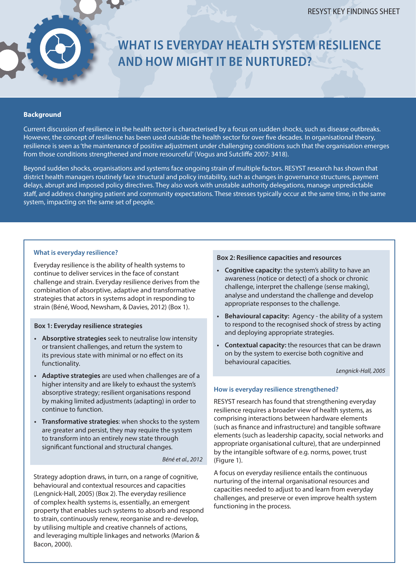# **WHAT IS EVERYDAY HEALTH SYSTEM RESILIENCE AND HOW MIGHT IT BE NURTURED?**

#### **Background**

Current discussion of resilience in the health sector is characterised by a focus on sudden shocks, such as disease outbreaks. However, the concept of resilience has been used outside the health sector for over five decades. In organisational theory, resilience is seen as 'the maintenance of positive adjustment under challenging conditions such that the organisation emerges from those conditions strengthened and more resourceful' (Vogus and Sutcliffe 2007: 3418).

Beyond sudden shocks, organisations and systems face ongoing strain of multiple factors. RESYST research has shown that district health managers routinely face structural and policy instability, such as changes in governance structures, payment delays, abrupt and imposed policy directives. They also work with unstable authority delegations, manage unpredictable staff, and address changing patient and community expectations. These stresses typically occur at the same time, in the same system, impacting on the same set of people.

#### **What is everyday resilience?**

Everyday resilience is the ability of health systems to continue to deliver services in the face of constant challenge and strain. Everyday resilience derives from the combination of absorptive, adaptive and transformative strategies that actors in systems adopt in responding to strain (Béné, Wood, Newsham, & Davies, 2012) (Box 1).

## **Box 1: Everyday resilience strategies**

- **• Absorptive strategies** seek to neutralise low intensity or transient challenges, and return the system to its previous state with minimal or no effect on its functionality.
- **• Adaptive strategies** are used when challenges are of a higher intensity and are likely to exhaust the system's absorptive strategy; resilient organisations respond by making limited adjustments (adapting) in order to continue to function.
- **• Transformative strategies**: when shocks to the system are greater and persist, they may require the system to transform into an entirely new state through significant functional and structural changes.

*Béné et al., 2012*

Strategy adoption draws, in turn, on a range of cognitive, behavioural and contextual resources and capacities (Lengnick-Hall, 2005) (Box 2). The everyday resilience of complex health systems is, essentially, an emergent property that enables such systems to absorb and respond to strain, continuously renew, reorganise and re-develop, by utilising multiple and creative channels of actions, and leveraging multiple linkages and networks (Marion & Bacon, 2000).

#### **Box 2: Resilience capacities and resources**

- **• Cognitive capacity:** the system's ability to have an awareness (notice or detect) of a shock or chronic challenge, interpret the challenge (sense making), analyse and understand the challenge and develop appropriate responses to the challenge.
- **• Behavioural capacity:** Agency the ability of a system to respond to the recognised shock of stress by acting and deploying appropriate strategies.
- **• Contextual capacity:** the resources that can be drawn on by the system to exercise both cognitive and behavioural capacities.

*Lengnick-Hall, 2005*

### **How is everyday resilience strengthened?**

RESYST research has found that strengthening everyday resilience requires a broader view of health systems, as comprising interactions between hardware elements (such as finance and infrastructure) and tangible software elements (such as leadership capacity, social networks and appropriate organisational culture), that are underpinned by the intangible software of e.g. norms, power, trust (Figure 1).

A focus on everyday resilience entails the continuous nurturing of the internal organisational resources and capacities needed to adjust to and learn from everyday challenges, and preserve or even improve health system functioning in the process.